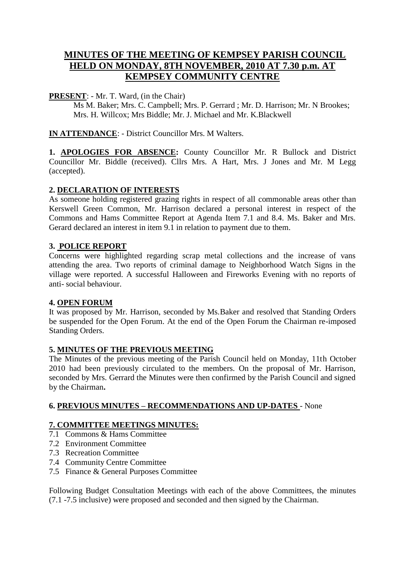# **MINUTES OF THE MEETING OF KEMPSEY PARISH COUNCIL HELD ON MONDAY, 8TH NOVEMBER, 2010 AT 7.30 p.m. AT KEMPSEY COMMUNITY CENTRE**

## **PRESENT**: - Mr. T. Ward, (in the Chair)

Ms M. Baker; Mrs. C. Campbell; Mrs. P. Gerrard ; Mr. D. Harrison; Mr. N Brookes; Mrs. H. Willcox; Mrs Biddle; Mr. J. Michael and Mr. K.Blackwell

**IN ATTENDANCE**: - District Councillor Mrs. M Walters.

**1. APOLOGIES FOR ABSENCE:** County Councillor Mr. R Bullock and District Councillor Mr. Biddle (received). Cllrs Mrs. A Hart, Mrs. J Jones and Mr. M Legg (accepted).

## **2. DECLARATION OF INTERESTS**

As someone holding registered grazing rights in respect of all commonable areas other than Kerswell Green Common, Mr. Harrison declared a personal interest in respect of the Commons and Hams Committee Report at Agenda Item 7.1 and 8.4. Ms. Baker and Mrs. Gerard declared an interest in item 9.1 in relation to payment due to them.

## **3. POLICE REPORT**

Concerns were highlighted regarding scrap metal collections and the increase of vans attending the area. Two reports of criminal damage to Neighborhood Watch Signs in the village were reported. A successful Halloween and Fireworks Evening with no reports of anti- social behaviour.

#### **4. OPEN FORUM**

It was proposed by Mr. Harrison, seconded by Ms.Baker and resolved that Standing Orders be suspended for the Open Forum. At the end of the Open Forum the Chairman re-imposed Standing Orders.

# **5. MINUTES OF THE PREVIOUS MEETING**

The Minutes of the previous meeting of the Parish Council held on Monday, 11th October 2010 had been previously circulated to the members. On the proposal of Mr. Harrison, seconded by Mrs. Gerrard the Minutes were then confirmed by the Parish Council and signed by the Chairman**.** 

# **6. PREVIOUS MINUTES – RECOMMENDATIONS AND UP-DATES** - None

# **7. COMMITTEE MEETINGS MINUTES:**

- 7.1 Commons & Hams Committee
- 7.2 Environment Committee
- 7.3 Recreation Committee
- 7.4 Community Centre Committee
- 7.5 Finance & General Purposes Committee

Following Budget Consultation Meetings with each of the above Committees, the minutes (7.1 -7.5 inclusive) were proposed and seconded and then signed by the Chairman.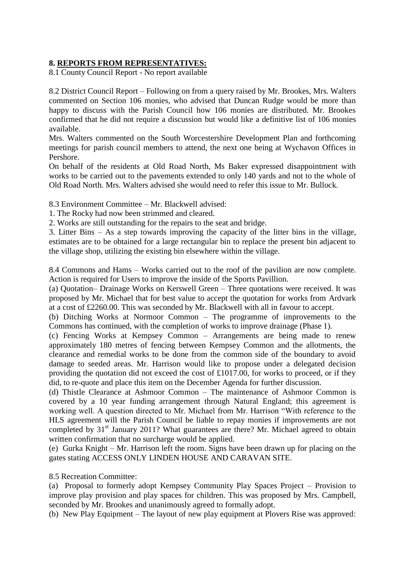### **8. REPORTS FROM REPRESENTATIVES:**

8.1 County Council Report - No report available

8.2 District Council Report – Following on from a query raised by Mr. Brookes, Mrs. Walters commented on Section 106 monies, who advised that Duncan Rudge would be more than happy to discuss with the Parish Council how 106 monies are distributed. Mr. Brookes confirmed that he did not require a discussion but would like a definitive list of 106 monies available.

Mrs. Walters commented on the South Worcestershire Development Plan and forthcoming meetings for parish council members to attend, the next one being at Wychavon Offices in Pershore.

On behalf of the residents at Old Road North, Ms Baker expressed disappointment with works to be carried out to the pavements extended to only 140 yards and not to the whole of Old Road North. Mrs. Walters advised she would need to refer this issue to Mr. Bullock.

8.3 Environment Committee – Mr. Blackwell advised:

1. The Rocky had now been strimmed and cleared.

2. Works are still outstanding for the repairs to the seat and bridge.

3. Litter Bins – As a step towards improving the capacity of the litter bins in the village, estimates are to be obtained for a large rectangular bin to replace the present bin adjacent to the village shop, utilizing the existing bin elsewhere within the village.

8.4 Commons and Hams – Works carried out to the roof of the pavilion are now complete. Action is required for Users to improve the inside of the Sports Pavillion.

(a) Quotation– Drainage Works on Kerswell Green – Three quotations were received. It was proposed by Mr. Michael that for best value to accept the quotation for works from Ardvark at a cost of £2260.00. This was seconded by Mr. Blackwell with all in favour to accept.

(b) Ditching Works at Normoor Common – The programme of improvements to the Commons has continued, with the completion of works to improve drainage (Phase 1).

(c) Fencing Works at Kempsey Common – Arrangements are being made to renew approximately 180 metres of fencing between Kempsey Common and the allotments, the clearance and remedial works to be done from the common side of the boundary to avoid damage to seeded areas. Mr. Harrison would like to propose under a delegated decision providing the quotation did not exceed the cost of £1017.00, for works to proceed, or if they did, to re-quote and place this item on the December Agenda for further discussion.

(d) Thistle Clearance at Ashmoor Common – The maintenance of Ashmoor Common is covered by a 10 year funding arrangement through Natural England; this agreement is working well. A question directed to Mr. Michael from Mr. Harrison "With reference to the HLS agreement will the Parish Council be liable to repay monies if improvements are not completed by 31<sup>st</sup> January 2011? What guarantees are there? Mr. Michael agreed to obtain written confirmation that no surcharge would be applied.

(e) Gurka Knight – Mr. Harrison left the room. Signs have been drawn up for placing on the gates stating ACCESS ONLY LINDEN HOUSE AND CARAVAN SITE.

8.5 Recreation Committee:

(a) Proposal to formerly adopt Kempsey Community Play Spaces Project – Provision to improve play provision and play spaces for children. This was proposed by Mrs. Campbell, seconded by Mr. Brookes and unanimously agreed to formally adopt.

(b) New Play Equipment – The layout of new play equipment at Plovers Rise was approved: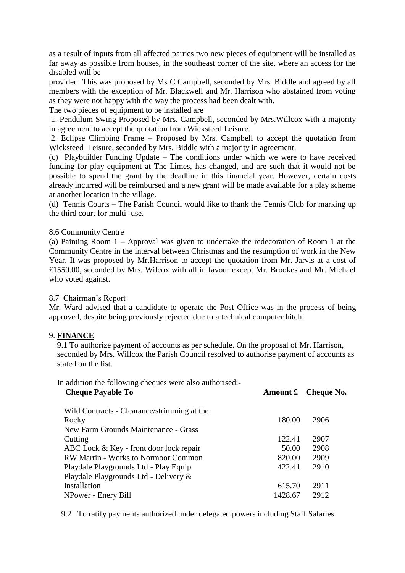as a result of inputs from all affected parties two new pieces of equipment will be installed as far away as possible from houses, in the southeast corner of the site, where an access for the disabled will be

provided. This was proposed by Ms C Campbell, seconded by Mrs. Biddle and agreed by all members with the exception of Mr. Blackwell and Mr. Harrison who abstained from voting as they were not happy with the way the process had been dealt with.

The two pieces of equipment to be installed are

1. Pendulum Swing Proposed by Mrs. Campbell, seconded by Mrs.Willcox with a majority in agreement to accept the quotation from Wicksteed Leisure.

2. Eclipse Climbing Frame – Proposed by Mrs. Campbell to accept the quotation from Wicksteed Leisure, seconded by Mrs. Biddle with a majority in agreement.

(c) Playbuilder Funding Update – The conditions under which we were to have received funding for play equipment at The Limes, has changed, and are such that it would not be possible to spend the grant by the deadline in this financial year. However, certain costs already incurred will be reimbursed and a new grant will be made available for a play scheme at another location in the village.

(d) Tennis Courts – The Parish Council would like to thank the Tennis Club for marking up the third court for multi- use.

#### 8.6 Community Centre

(a) Painting Room 1 – Approval was given to undertake the redecoration of Room 1 at the Community Centre in the interval between Christmas and the resumption of work in the New Year. It was proposed by Mr.Harrison to accept the quotation from Mr. Jarvis at a cost of £1550.00, seconded by Mrs. Wilcox with all in favour except Mr. Brookes and Mr. Michael who voted against.

#### 8.7 Chairman's Report

Mr. Ward advised that a candidate to operate the Post Office was in the process of being approved, despite being previously rejected due to a technical computer hitch!

#### 9. **FINANCE**

 9.1 To authorize payment of accounts as per schedule. On the proposal of Mr. Harrison, seconded by Mrs. Willcox the Parish Council resolved to authorise payment of accounts as stated on the list.

In addition the following cheques were also authorised:-

| <b>Cheque Payable To</b>                    | Amount £ | Cheque No. |
|---------------------------------------------|----------|------------|
| Wild Contracts - Clearance/strimming at the |          |            |
| Rocky                                       | 180.00   | 2906       |
| New Farm Grounds Maintenance - Grass        |          |            |
| Cutting                                     | 122.41   | 2907       |
| ABC Lock $& Key$ - front door lock repair   | 50.00    | 2908       |
| <b>RW Martin - Works to Normoor Common</b>  | 820.00   | 2909       |
| Playdale Playgrounds Ltd - Play Equip       | 422.41   | 2910       |
| Playdale Playgrounds Ltd - Delivery &       |          |            |
| Installation                                | 615.70   | 2911       |
| NPower - Enery Bill                         | 1428.67  | 2912       |
|                                             |          |            |

9.2 To ratify payments authorized under delegated powers including Staff Salaries